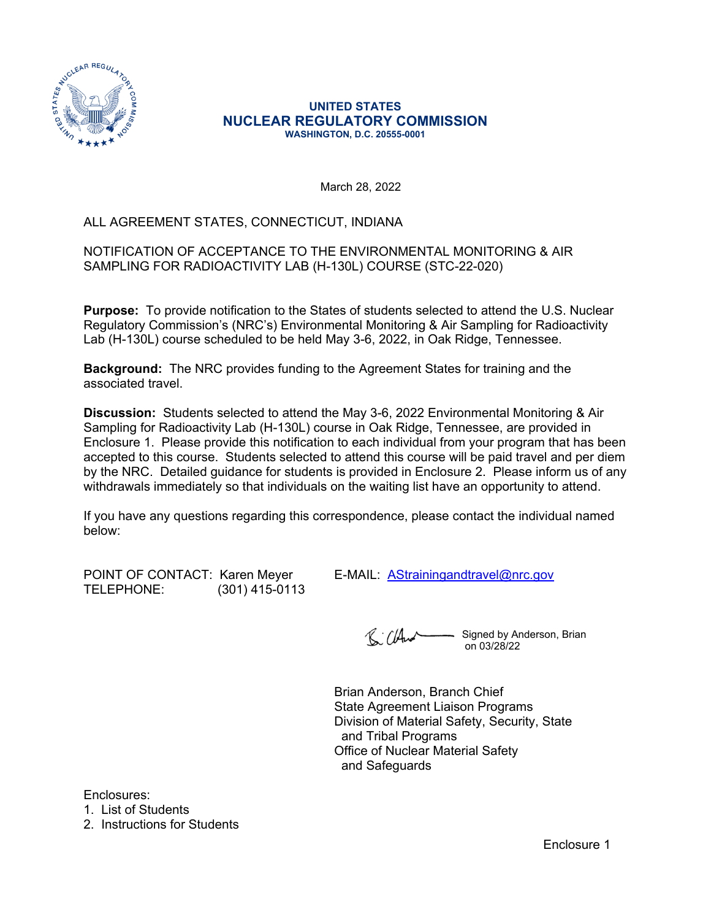

#### **UNITED STATES NUCLEAR REGULATORY COMMISSION WASHINGTON, D.C. 20555-0001**

March 28, 2022

# ALL AGREEMENT STATES, CONNECTICUT, INDIANA

### NOTIFICATION OF ACCEPTANCE TO THE ENVIRONMENTAL MONITORING & AIR SAMPLING FOR RADIOACTIVITY LAB (H-130L) COURSE (STC-22-020)

**Purpose:** To provide notification to the States of students selected to attend the U.S. Nuclear Regulatory Commission's (NRC's) Environmental Monitoring & Air Sampling for Radioactivity Lab (H-130L) course scheduled to be held May 3-6, 2022, in Oak Ridge, Tennessee.

**Background:** The NRC provides funding to the Agreement States for training and the associated travel.

**Discussion:** Students selected to attend the May 3-6, 2022 Environmental Monitoring & Air Sampling for Radioactivity Lab (H-130L) course in Oak Ridge, Tennessee, are provided in Enclosure 1. Please provide this notification to each individual from your program that has been accepted to this course. Students selected to attend this course will be paid travel and per diem by the NRC. Detailed guidance for students is provided in Enclosure 2. Please inform us of any withdrawals immediately so that individuals on the waiting list have an opportunity to attend.

If you have any questions regarding this correspondence, please contact the individual named below:

TELEPHONE: (301) 415-0113

POINT OF CONTACT: Karen Meyer E-MAIL: [AStrainingandtravel@nrc.gov](mailto:AStrainingandtravel@nrc.gov)

R: Cland Signed by Anderson, Brian on 03/28/22

Brian Anderson, Branch Chief State Agreement Liaison Programs Division of Material Safety, Security, State and Tribal Programs Office of Nuclear Material Safety and Safeguards

Enclosures:

1. List of Students

2. Instructions for Students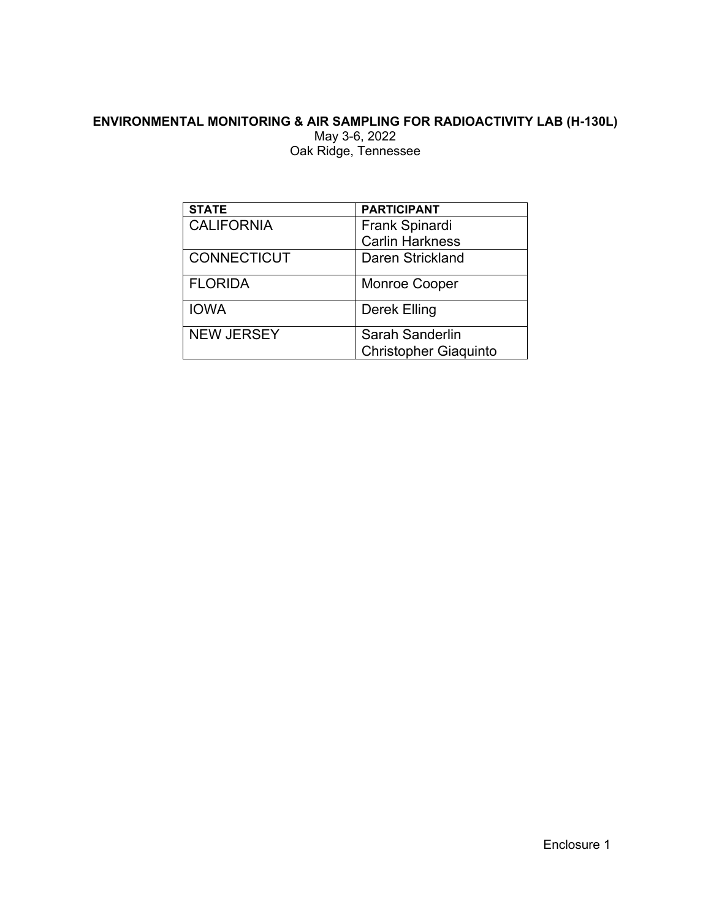# **ENVIRONMENTAL MONITORING & AIR SAMPLING FOR RADIOACTIVITY LAB (H-130L)**

May 3-6, 2022 Oak Ridge, Tennessee

| <b>STATE</b>       | <b>PARTICIPANT</b>           |  |  |
|--------------------|------------------------------|--|--|
| <b>CALIFORNIA</b>  | <b>Frank Spinardi</b>        |  |  |
|                    | <b>Carlin Harkness</b>       |  |  |
| <b>CONNECTICUT</b> | Daren Strickland             |  |  |
| <b>FLORIDA</b>     | <b>Monroe Cooper</b>         |  |  |
| <b>IOWA</b>        | Derek Elling                 |  |  |
| <b>NEW JERSEY</b>  | Sarah Sanderlin              |  |  |
|                    | <b>Christopher Giaquinto</b> |  |  |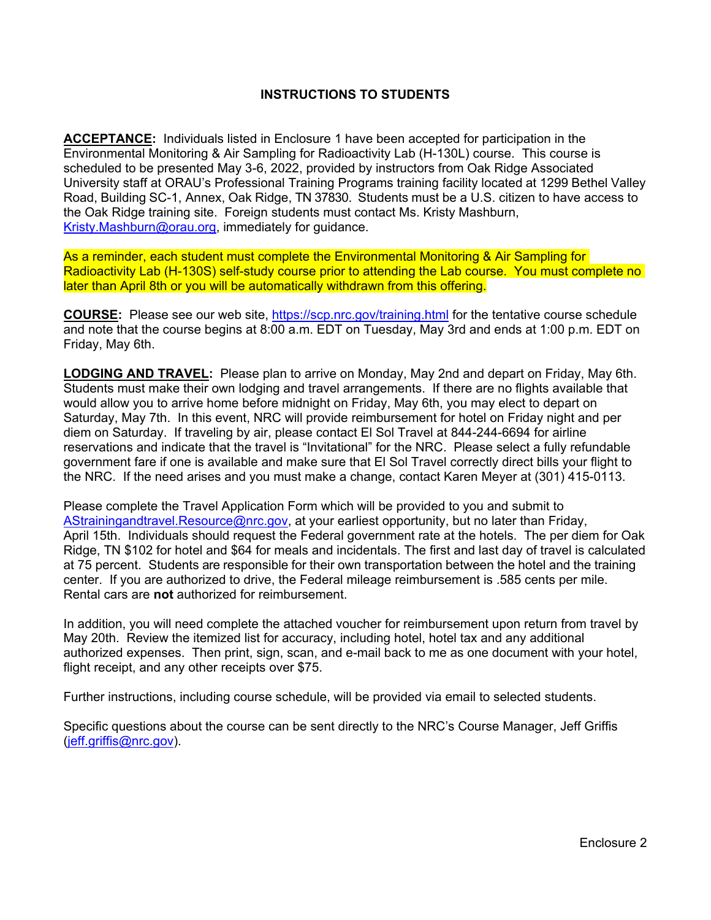### **INSTRUCTIONS TO STUDENTS**

**ACCEPTANCE:** Individuals listed in Enclosure 1 have been accepted for participation in the Environmental Monitoring & Air Sampling for Radioactivity Lab (H-130L) course. This course is scheduled to be presented May 3-6, 2022, provided by instructors from Oak Ridge Associated University staff at ORAU's Professional Training Programs training facility located at 1299 Bethel Valley Road, Building SC-1, Annex, Oak Ridge, TN 37830. Students must be a U.S. citizen to have access to the Oak Ridge training site. Foreign students must contact Ms. Kristy Mashburn, [Kristy.Mashburn@orau.org](mailto:Kristy.Mashburn@orau.org), immediately for guidance.

As a reminder, each student must complete the Environmental Monitoring & Air Sampling for Radioactivity Lab (H-130S) self-study course prior to attending the Lab course. You must complete no later than April 8th or you will be automatically withdrawn from this offering.

**COURSE:** Please see our web site,<https://scp.nrc.gov/training.html>for the tentative course schedule and note that the course begins at 8:00 a.m. EDT on Tuesday, May 3rd and ends at 1:00 p.m. EDT on Friday, May 6th.

**LODGING AND TRAVEL:** Please plan to arrive on Monday, May 2nd and depart on Friday, May 6th. Students must make their own lodging and travel arrangements. If there are no flights available that would allow you to arrive home before midnight on Friday, May 6th, you may elect to depart on Saturday, May 7th. In this event, NRC will provide reimbursement for hotel on Friday night and per diem on Saturday. If traveling by air, please contact El Sol Travel at 844-244-6694 for airline reservations and indicate that the travel is "Invitational" for the NRC. Please select a fully refundable government fare if one is available and make sure that El Sol Travel correctly direct bills your flight to the NRC. If the need arises and you must make a change, contact Karen Meyer at (301) 415-0113.

Please complete the Travel Application Form which will be provided to you and submit to [AStrainingandtravel.Resource@nrc.gov](mailto:AStrainingandtravel.Resource@nrc.gov), at your earliest opportunity, but no later than Friday, April 15th. Individuals should request the Federal government rate at the hotels. The per diem for Oak Ridge, TN \$102 for hotel and \$64 for meals and incidentals. The first and last day of travel is calculated at 75 percent. Students are responsible for their own transportation between the hotel and the training center. If you are authorized to drive, the Federal mileage reimbursement is .585 cents per mile. Rental cars are **not** authorized for reimbursement.

In addition, you will need complete the attached voucher for reimbursement upon return from travel by May 20th. Review the itemized list for accuracy, including hotel, hotel tax and any additional authorized expenses. Then print, sign, scan, and e-mail back to me as one document with your hotel, flight receipt, and any other receipts over \$75.

Further instructions, including course schedule, will be provided via email to selected students.

Specific questions about the course can be sent directly to the NRC's Course Manager, Jeff Griffis [\(jeff.griffis@nrc.gov\)](mailto:jeff.griffis@nrc.gov).